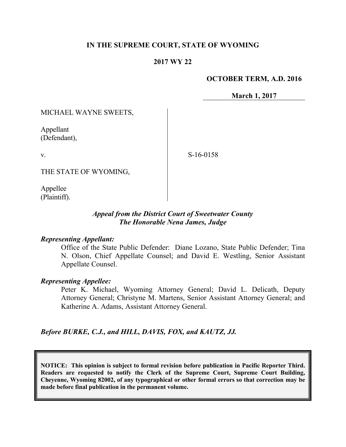## **IN THE SUPREME COURT, STATE OF WYOMING**

## **2017 WY 22**

### **OCTOBER TERM, A.D. 2016**

**March 1, 2017**

MICHAEL WAYNE SWEETS,

Appellant (Defendant),

v.

S-16-0158

THE STATE OF WYOMING,

Appellee (Plaintiff).

## *Appeal from the District Court of Sweetwater County The Honorable Nena James, Judge*

#### *Representing Appellant:*

Office of the State Public Defender: Diane Lozano, State Public Defender; Tina N. Olson, Chief Appellate Counsel; and David E. Westling, Senior Assistant Appellate Counsel.

#### *Representing Appellee:*

Peter K. Michael, Wyoming Attorney General; David L. Delicath, Deputy Attorney General; Christyne M. Martens, Senior Assistant Attorney General; and Katherine A. Adams, Assistant Attorney General.

*Before BURKE, C.J., and HILL, DAVIS, FOX, and KAUTZ, JJ.*

**NOTICE: This opinion is subject to formal revision before publication in Pacific Reporter Third. Readers are requested to notify the Clerk of the Supreme Court, Supreme Court Building, Cheyenne, Wyoming 82002, of any typographical or other formal errors so that correction may be made before final publication in the permanent volume.**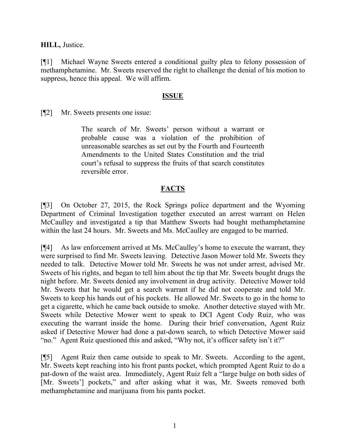**HILL,** Justice.

[¶1] Michael Wayne Sweets entered a conditional guilty plea to felony possession of methamphetamine. Mr. Sweets reserved the right to challenge the denial of his motion to suppress, hence this appeal. We will affirm.

## **ISSUE**

[¶2] Mr. Sweets presents one issue:

The search of Mr. Sweets' person without a warrant or probable cause was a violation of the prohibition of unreasonable searches as set out by the Fourth and Fourteenth Amendments to the United States Constitution and the trial court's refusal to suppress the fruits of that search constitutes reversible error.

# **FACTS**

[¶3] On October 27, 2015, the Rock Springs police department and the Wyoming Department of Criminal Investigation together executed an arrest warrant on Helen McCaulley and investigated a tip that Matthew Sweets had bought methamphetamine within the last 24 hours. Mr. Sweets and Ms. McCaulley are engaged to be married.

[¶4] As law enforcement arrived at Ms. McCaulley's home to execute the warrant, they were surprised to find Mr. Sweets leaving. Detective Jason Mower told Mr. Sweets they needed to talk. Detective Mower told Mr. Sweets he was not under arrest, advised Mr. Sweets of his rights, and began to tell him about the tip that Mr. Sweets bought drugs the night before. Mr. Sweets denied any involvement in drug activity. Detective Mower told Mr. Sweets that he would get a search warrant if he did not cooperate and told Mr. Sweets to keep his hands out of his pockets. He allowed Mr. Sweets to go in the home to get a cigarette, which he came back outside to smoke. Another detective stayed with Mr. Sweets while Detective Mower went to speak to DCI Agent Cody Ruiz, who was executing the warrant inside the home. During their brief conversation, Agent Ruiz asked if Detective Mower had done a pat-down search, to which Detective Mower said "no." Agent Ruiz questioned this and asked, "Why not, it's officer safety isn't it?"

[¶5] Agent Ruiz then came outside to speak to Mr. Sweets. According to the agent, Mr. Sweets kept reaching into his front pants pocket, which prompted Agent Ruiz to do a pat-down of the waist area. Immediately, Agent Ruiz felt a "large bulge on both sides of [Mr. Sweets'] pockets," and after asking what it was, Mr. Sweets removed both methamphetamine and marijuana from his pants pocket.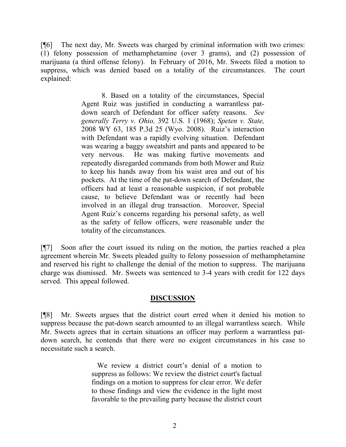[¶6] The next day, Mr. Sweets was charged by criminal information with two crimes: (1) felony possession of methamphetamine (over 3 grams), and (2) possession of marijuana (a third offense felony). In February of 2016, Mr. Sweets filed a motion to suppress, which was denied based on a totality of the circumstances. The court explained:

> 8. Based on a totality of the circumstances, Special Agent Ruiz was justified in conducting a warrantless patdown search of Defendant for officer safety reasons. *See generally Terry v. Ohio,* 392 U.S. 1 (1968); *Speten v. State,*  2008 WY 63, 185 P.3d 25 (Wyo. 2008). Ruiz's interaction with Defendant was a rapidly evolving situation. Defendant was wearing a baggy sweatshirt and pants and appeared to be very nervous. He was making furtive movements and repeatedly disregarded commands from both Mower and Ruiz to keep his hands away from his waist area and out of his pockets. At the time of the pat-down search of Defendant, the officers had at least a reasonable suspicion, if not probable cause, to believe Defendant was or recently had been involved in an illegal drug transaction. Moreover, Special Agent Ruiz's concerns regarding his personal safety, as well as the safety of fellow officers, were reasonable under the totality of the circumstances.

[¶7] Soon after the court issued its ruling on the motion, the parties reached a plea agreement wherein Mr. Sweets pleaded guilty to felony possession of methamphetamine and reserved his right to challenge the denial of the motion to suppress. The marijuana charge was dismissed. Mr. Sweets was sentenced to 3-4 years with credit for 122 days served. This appeal followed.

### **DISCUSSION**

[¶8] Mr. Sweets argues that the district court erred when it denied his motion to suppress because the pat-down search amounted to an illegal warrantless search. While Mr. Sweets agrees that in certain situations an officer may perform a warrantless patdown search, he contends that there were no exigent circumstances in his case to necessitate such a search.

> We review a district court's denial of a motion to suppress as follows: We review the district court's factual findings on a motion to suppress for clear error. We defer to those findings and view the evidence in the light most favorable to the prevailing party because the district court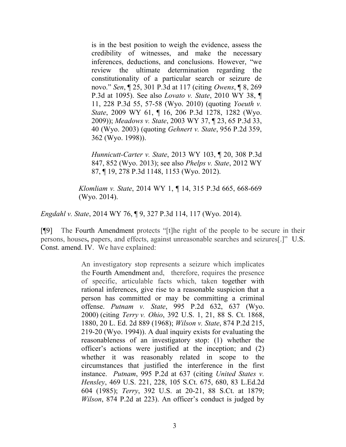is in the best position to weigh the evidence, assess the credibility of witnesses, and make the necessary inferences, deductions, and conclusions. However, "we review the ultimate determination regarding the constitutionality of a particular search or seizure de novo." *Sen*, ¶ 25, 301 P.3d at 117 (citing *Owens*, ¶ 8, 269 P.3d at 1095). See also *Lovato v. State*, 2010 WY 38, ¶ 11, 228 P.3d 55, 57-58 (Wyo. 2010) (quoting *Yoeuth v. State*, 2009 WY 61, ¶ 16, 206 P.3d 1278, 1282 (Wyo. 2009)); *Meadows v. State*, 2003 WY 37, ¶ 23, 65 P.3d 33, 40 (Wyo. 2003) (quoting *Gehnert v. State*, 956 P.2d 359, 362 (Wyo. 1998)).

*Hunnicutt-Carter v. State*, 2013 WY 103, ¶ 20, 308 P.3d 847, 852 (Wyo. 2013); see also *Phelps v. State*, 2012 WY 87, ¶ 19, 278 P.3d 1148, 1153 (Wyo. 2012).

*Klomliam v. State*, 2014 WY 1, ¶ 14, 315 P.3d 665, 668-669 (Wyo. 2014).

*Engdahl v. State*, 2014 WY 76, ¶ 9, 327 P.3d 114, 117 (Wyo. 2014).

[¶9] The Fourth Amendment protects "[t]he right of the people to be secure in their persons, houses**,** papers, and effects, against unreasonable searches and seizures[.]" U.S. Const. amend. IV. We have explained:

> An investigatory stop represents a seizure which implicates the Fourth Amendment and, therefore, requires the presence of specific, articulable facts which, taken together with rational inferences, give rise to a reasonable suspicion that a person has committed or may be committing a criminal offense. *Putnam v. State*, 995 P.2d 632, 637 (Wyo. 2000) (citing *Terry v. Ohio*, 392 U.S. 1, 21, 88 S. Ct. 1868, 1880, 20 L. Ed. 2d 889 (1968); *Wilson v. State*, 874 P.2d 215, 219-20 (Wyo. 1994)). A dual inquiry exists for evaluating the reasonableness of an investigatory stop: (1) whether the officer's actions were justified at the inception; and (2) whether it was reasonably related in scope to the circumstances that justified the interference in the first instance. *Putnam*, 995 P.2d at 637 (citing *United States v. Hensley*, 469 U.S. 221, 228, 105 S.Ct. 675, 680, 83 L.Ed.2d 604 (1985); *Terry*, 392 U.S. at 20-21, 88 S.Ct. at 1879; *Wilson*, 874 P.2d at 223). An officer's conduct is judged by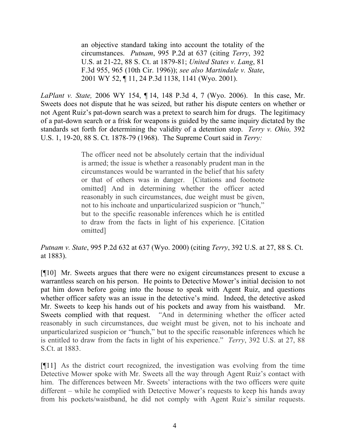an objective standard taking into account the totality of the circumstances. *Putnam*, 995 P.2d at 637 (citing *Terry*, 392 U.S. at 21-22, 88 S. Ct. at 1879-81; *United States v. Lang*, 81 F.3d 955, 965 (10th Cir. 1996)); *see also Martindale v. State*, 2001 WY 52, ¶ 11, 24 P.3d 1138, 1141 (Wyo. 2001).

*LaPlant v. State,* 2006 WY 154, ¶ 14, 148 P.3d 4, 7 (Wyo. 2006). In this case, Mr. Sweets does not dispute that he was seized, but rather his dispute centers on whether or not Agent Ruiz's pat-down search was a pretext to search him for drugs. The legitimacy of a pat-down search or a frisk for weapons is guided by the same inquiry dictated by the standards set forth for determining the validity of a detention stop. *Terry v. Ohio,* 392 U.S. 1, 19-20, 88 S. Ct. 1878-79 (1968). The Supreme Court said in *Terry:*

> The officer need not be absolutely certain that the individual is armed; the issue is whether a reasonably prudent man in the circumstances would be warranted in the belief that his safety or that of others was in danger. [Citations and footnote omitted] And in determining whether the officer acted reasonably in such circumstances, due weight must be given, not to his inchoate and unparticularized suspicion or "hunch," but to the specific reasonable inferences which he is entitled to draw from the facts in light of his experience. [Citation omitted]

*Putnam v. State*, 995 P.2d 632 at 637 (Wyo. 2000) (citing *Terry*, 392 U.S. at 27, 88 S. Ct. at 1883).

[¶10] Mr. Sweets argues that there were no exigent circumstances present to excuse a warrantless search on his person. He points to Detective Mower's initial decision to not pat him down before going into the house to speak with Agent Ruiz, and questions whether officer safety was an issue in the detective's mind. Indeed, the detective asked Mr. Sweets to keep his hands out of his pockets and away from his waistband. Mr. Sweets complied with that request. *"*And in determining whether the officer acted reasonably in such circumstances, due weight must be given, not to his inchoate and unparticularized suspicion or "hunch," but to the specific reasonable inferences which he is entitled to draw from the facts in light of his experience." *Terry*, 392 U.S. at 27, 88 S.Ct. at 1883.

[¶11] As the district court recognized, the investigation was evolving from the time Detective Mower spoke with Mr. Sweets all the way through Agent Ruiz's contact with him. The differences between Mr. Sweets' interactions with the two officers were quite different – while he complied with Detective Mower's requests to keep his hands away from his pockets/waistband, he did not comply with Agent Ruiz's similar requests.